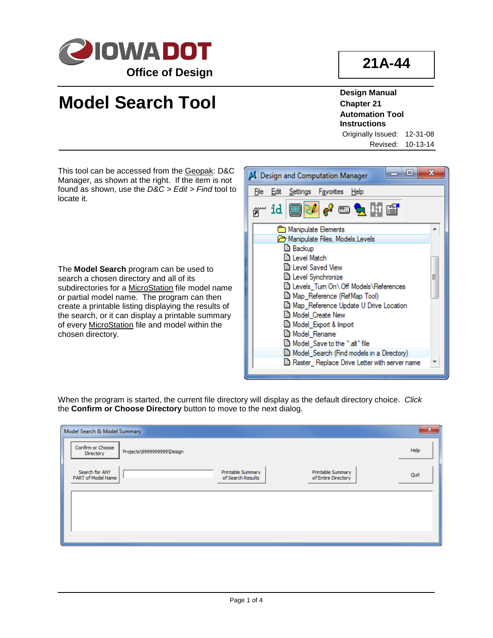

## **Model Search Tool**

**Design Manual Chapter 21 Automation Tool Instructions**

Originally Issued: 12-31-08 Revised: 10-13-14

This tool can be accessed from the Geopak: D&C Manager, as shown at the right. If the item is not found as shown, use the *D&C > Edit > Find* tool to locate it.

The **Model Search** program can be used to search a chosen directory and all of its subdirectories for a MicroStation file model name or partial model name. The program can then create a printable listing displaying the results of the search, or it can display a printable summary of every MicroStation file and model within the chosen directory.

| Design and Computation Manager                          | X |
|---------------------------------------------------------|---|
| File<br><b>Edit</b> Settings Favorites<br>Help          |   |
| <sub>ฅ</sub> ™id ©PZ αº © <u>q</u> H [£]                |   |
| Manipulate Elements                                     |   |
| Manipulate Files, Models, Levels                        |   |
| <b>Backup</b>                                           |   |
| <b>□ Level Match</b>                                    |   |
| <b>■ Level Saved View</b>                               |   |
| <b>E</b> Level Synchronize                              | Ξ |
| El Levels_Tum On\Off Models\References                  |   |
| <b>■ Map_Reference (RefMap Tool)</b>                    |   |
| Map_Reference Update U Drive Location                   |   |
| Model_Create New                                        |   |
| Model Export & Import                                   |   |
| Model_Rename                                            |   |
| Model_Save to the ".alt" file                           |   |
| Model_Search (Find models in a Directory)               |   |
| <u>   Raster_ Replace Drive Letter with server name</u> |   |
|                                                         |   |

When the program is started, the current file directory will display as the default directory choice. *Click* the **Confirm or Choose Directory** button to move to the next dialog.

| Model Search & Model Summary         |                            |                                        |                                          | $\overline{\mathbf{x}}$ |
|--------------------------------------|----------------------------|----------------------------------------|------------------------------------------|-------------------------|
| Confirm or Choose<br>Directory       | Projects\9999999999\Design |                                        |                                          | Help                    |
| Search for ANY<br>PART of Model Name |                            | Printable Summary<br>of Search Results | Printable Summary<br>of Entire Directory | Quit                    |
|                                      |                            |                                        |                                          |                         |
|                                      |                            |                                        |                                          |                         |
|                                      |                            |                                        |                                          |                         |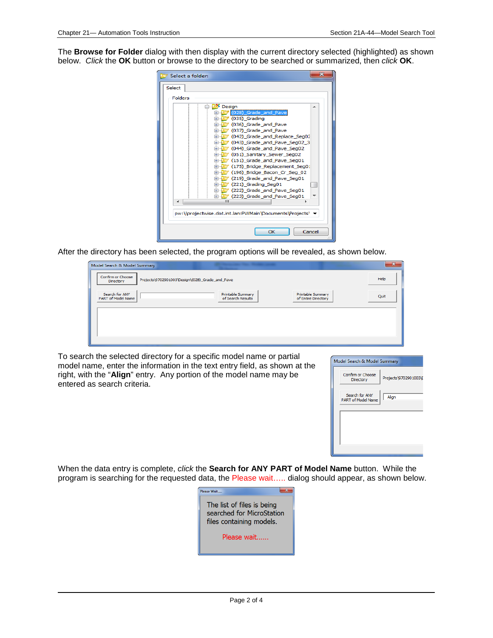The **Browse for Folder** dialog with then display with the current directory selected (highlighted) as shown below. *Click* the **OK** button or browse to the directory to be searched or summarized, then *click* **OK**.

| $\overline{\mathbf{x}}$<br>Select a folder:                                                                                                                                                                                                                                                                                                                                                                                                                                                                                                                                                              |
|----------------------------------------------------------------------------------------------------------------------------------------------------------------------------------------------------------------------------------------------------------------------------------------------------------------------------------------------------------------------------------------------------------------------------------------------------------------------------------------------------------------------------------------------------------------------------------------------------------|
| Select                                                                                                                                                                                                                                                                                                                                                                                                                                                                                                                                                                                                   |
| Folders                                                                                                                                                                                                                                                                                                                                                                                                                                                                                                                                                                                                  |
| Design<br>∸<br>(028) Grade and Pave<br>(035) Grading<br>÷<br>(036) Grade and Pave<br>Ŧ<br>(037) Grade and Pave<br>Ŧ<br>(042) Grade and Replace Seg02<br>Ŧ<br>(043) Grade and Pave Seg02 3<br>Œ<br>(044) Grade and Pave Seg02<br>Œŀ<br>(051) Sanitary Sewer Seg02<br>田<br>(151) Grade and Pave Seg01<br>Ŧ<br>(175) Bridge Replacement Seg01<br>œŀ<br>(196) Bridge Bacon Cr Seg 02<br>田…<br>(219) Grade and Pave Seg01<br>$\mathbf{F}$<br>(221) Grading Seg01<br>÷<br>(222) Grade and Pave Seg01<br>田…<br>(223) Grade and Pave Seg01<br>田…<br>m<br>pw:\\projectwise.dot.int.lan:PWMain\Documents\Projects\ |
| OK<br>Cancel                                                                                                                                                                                                                                                                                                                                                                                                                                                                                                                                                                                             |

After the directory has been selected, the program options will be revealed, as shown below.

| Model Search & Model Summary                                                                                               | $\mathbf{x}$ |
|----------------------------------------------------------------------------------------------------------------------------|--------------|
| <b>Confirm or Choose</b><br>Projects\9702901003\Design\(028)_Grade_and_Pave<br><b>Directory</b>                            | Help         |
| Search for ANY<br>Printable Summary<br>Printable Summary<br>of Search Results<br>PART of Model Name<br>of Entire Directory | Quit         |
|                                                                                                                            |              |
|                                                                                                                            |              |
|                                                                                                                            |              |

To search the selected directory for a specific model name or partial model name, enter the information in the text entry field, as shown at the right, with the "**Align**" entry. Any portion of the model name may be entered as search criteria.

| Model Search & Model Summary                |                       |
|---------------------------------------------|-----------------------|
| Confirm or Choose<br><b>Directory</b>       | Projects\9702901003\D |
| Search for ANY<br><b>PART of Model Name</b> | Align                 |
|                                             |                       |
|                                             |                       |
|                                             |                       |

When the data entry is complete, *click* the **Search for ANY PART of Model Name** button. While the program is searching for the requested data, the Please wait..... dialog should appear, as shown below.

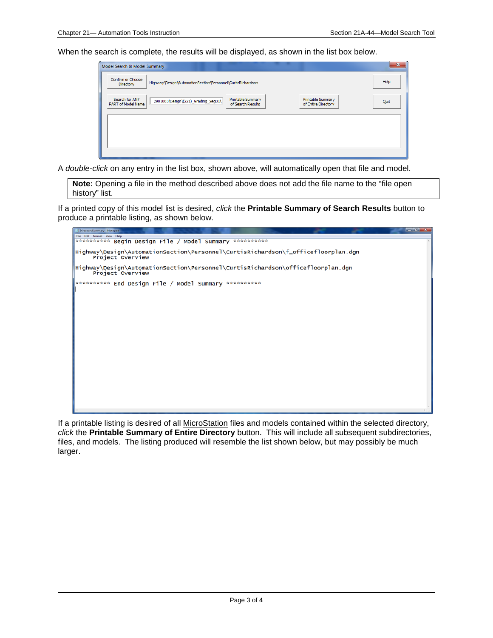When the search is complete, the results will be displayed, as shown in the list box below.

| Model Search & Model Summary                |                                                             |                                        |                                          | $\mathbf{x}$ |
|---------------------------------------------|-------------------------------------------------------------|----------------------------------------|------------------------------------------|--------------|
| Confirm or Choose<br>Directory              | Highway\Design\AutomationSection\Personnel\CurtisRichardson |                                        |                                          | Help         |
| Search for ANY<br><b>PART of Model Name</b> | 2901003\Design\(221)_Grading_Seg01\                         | Printable Summary<br>of Search Results | Printable Summary<br>of Entire Directory | Quit         |
|                                             |                                                             |                                        |                                          |              |
|                                             |                                                             |                                        |                                          |              |
|                                             |                                                             |                                        |                                          |              |

A *double-click* on any entry in the list box, shown above, will automatically open that file and model.

**Note:** Opening a file in the method described above does not add the file name to the "file open history" list.

If a printed copy of this model list is desired, *click* the **Printable Summary of Search Results** button to produce a printable listing, as shown below.



If a printable listing is desired of all MicroStation files and models contained within the selected directory, *click* the **Printable Summary of Entire Directory** button. This will include all subsequent subdirectories, files, and models. The listing produced will resemble the list shown below, but may possibly be much larger.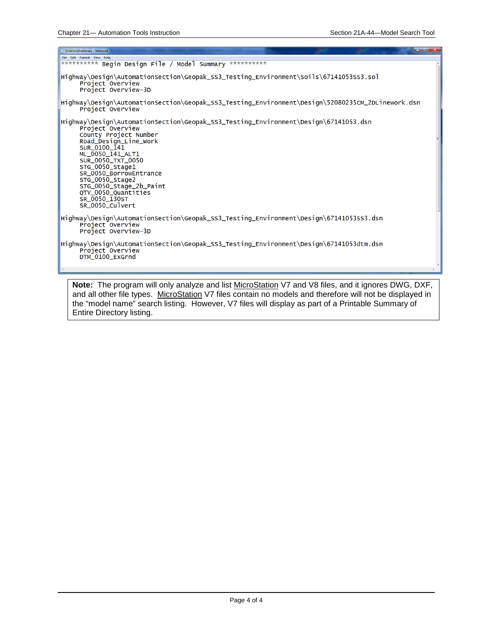| $  x$<br>DirectorySummary - Notepad                                                                                                                                                                                                                                                                                                                                      |
|--------------------------------------------------------------------------------------------------------------------------------------------------------------------------------------------------------------------------------------------------------------------------------------------------------------------------------------------------------------------------|
| File Edit Format View Help                                                                                                                                                                                                                                                                                                                                               |
| *********** Begin Design File / Model Summary ***********                                                                                                                                                                                                                                                                                                                |
| Highway\Design\AutomationSection\Geopak_SS3_Testing_Environment\Soils\67141053SS3.sol<br>Project Overview<br>Project Overview-3D                                                                                                                                                                                                                                         |
| Highway\Design\AutomationSection\Geopak_SS3_Testing_Environment\Design\52080235cM_2DLinework.dsn<br>Project Overview                                                                                                                                                                                                                                                     |
| Highway\Design\AutomationSection\Geopak_SS3_Testing_Environment\Design\67141053.dsn<br>Project Overview<br>County Project Number<br>Road_Design_Line_Work<br>SUR 0100 141<br>ML 0050 141 ALT1<br>SUR_0050_TXT_0050<br>STG_0050_Stage1<br>SR_0050_BorrowEntrance<br>STG_0050_Stage2<br>STG_0050_Stage_2b_Paint<br>QTY_0050_Quantities<br>SR_0050_130ST<br>SR 0050 Culvert |
| Highway\Design\AutomationSection\Geopak_SS3_Testing_Environment\Design\67141053SS3.dsn<br>Project Overview<br>Project Overview-3D                                                                                                                                                                                                                                        |
| Highway\Design\AutomationSection\Geopak_SS3_Testing_Environment\Design\67141053dtm.dsn<br>Project Overview<br>DTM_0100_ExGrnd                                                                                                                                                                                                                                            |
|                                                                                                                                                                                                                                                                                                                                                                          |

**Note:** The program will only analyze and list MicroStation V7 and V8 files, and it ignores DWG, DXF, and all other file types. MicroStation V7 files contain no models and therefore will not be displayed in the "model name" search listing. However, V7 files will display as part of a Printable Summary of Entire Directory listing.